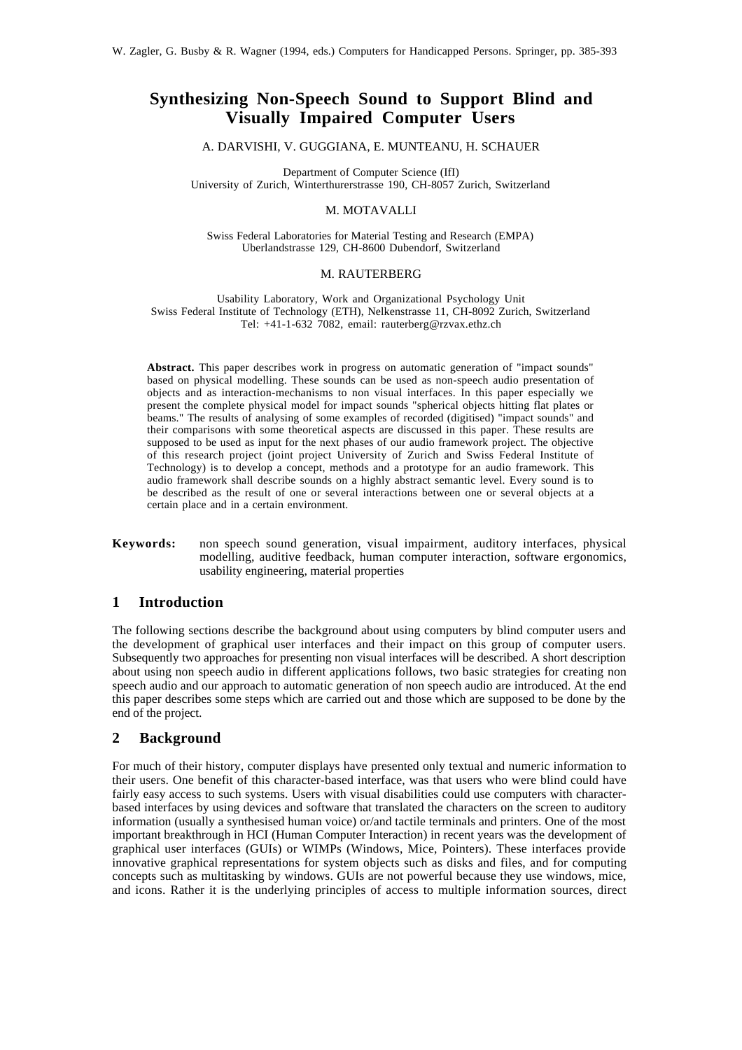# **Synthesizing Non-Speech Sound to Support Blind and Visually Impaired Computer Users**

#### A. DARVISHI, V. GUGGIANA, E. MUNTEANU, H. SCHAUER

Department of Computer Science (IfI) University of Zurich, Winterthurerstrasse 190, CH-8057 Zurich, Switzerland

#### M. MOTAVALLI

Swiss Federal Laboratories for Material Testing and Research (EMPA) Uberlandstrasse 129, CH-8600 Dubendorf, Switzerland

#### M. RAUTERBERG

Usability Laboratory, Work and Organizational Psychology Unit Swiss Federal Institute of Technology (ETH), Nelkenstrasse 11, CH-8092 Zurich, Switzerland Tel: +41-1-632 7082, email: rauterberg@rzvax.ethz.ch

**Abstract.** This paper describes work in progress on automatic generation of "impact sounds" based on physical modelling. These sounds can be used as non-speech audio presentation of objects and as interaction-mechanisms to non visual interfaces. In this paper especially we present the complete physical model for impact sounds "spherical objects hitting flat plates or beams." The results of analysing of some examples of recorded (digitised) "impact sounds" and their comparisons with some theoretical aspects are discussed in this paper. These results are supposed to be used as input for the next phases of our audio framework project. The objective of this research project (joint project University of Zurich and Swiss Federal Institute of Technology) is to develop a concept, methods and a prototype for an audio framework. This audio framework shall describe sounds on a highly abstract semantic level. Every sound is to be described as the result of one or several interactions between one or several objects at a certain place and in a certain environment.

**Keywords:** non speech sound generation, visual impairment, auditory interfaces, physical modelling, auditive feedback, human computer interaction, software ergonomics, usability engineering, material properties

## **1 Introduction**

The following sections describe the background about using computers by blind computer users and the development of graphical user interfaces and their impact on this group of computer users. Subsequently two approaches for presenting non visual interfaces will be described. A short description about using non speech audio in different applications follows, two basic strategies for creating non speech audio and our approach to automatic generation of non speech audio are introduced. At the end this paper describes some steps which are carried out and those which are supposed to be done by the end of the project.

### **2 Background**

For much of their history, computer displays have presented only textual and numeric information to their users. One benefit of this character-based interface, was that users who were blind could have fairly easy access to such systems. Users with visual disabilities could use computers with characterbased interfaces by using devices and software that translated the characters on the screen to auditory information (usually a synthesised human voice) or/and tactile terminals and printers. One of the most important breakthrough in HCI (Human Computer Interaction) in recent years was the development of graphical user interfaces (GUIs) or WIMPs (Windows, Mice, Pointers). These interfaces provide innovative graphical representations for system objects such as disks and files, and for computing concepts such as multitasking by windows. GUIs are not powerful because they use windows, mice, and icons. Rather it is the underlying principles of access to multiple information sources, direct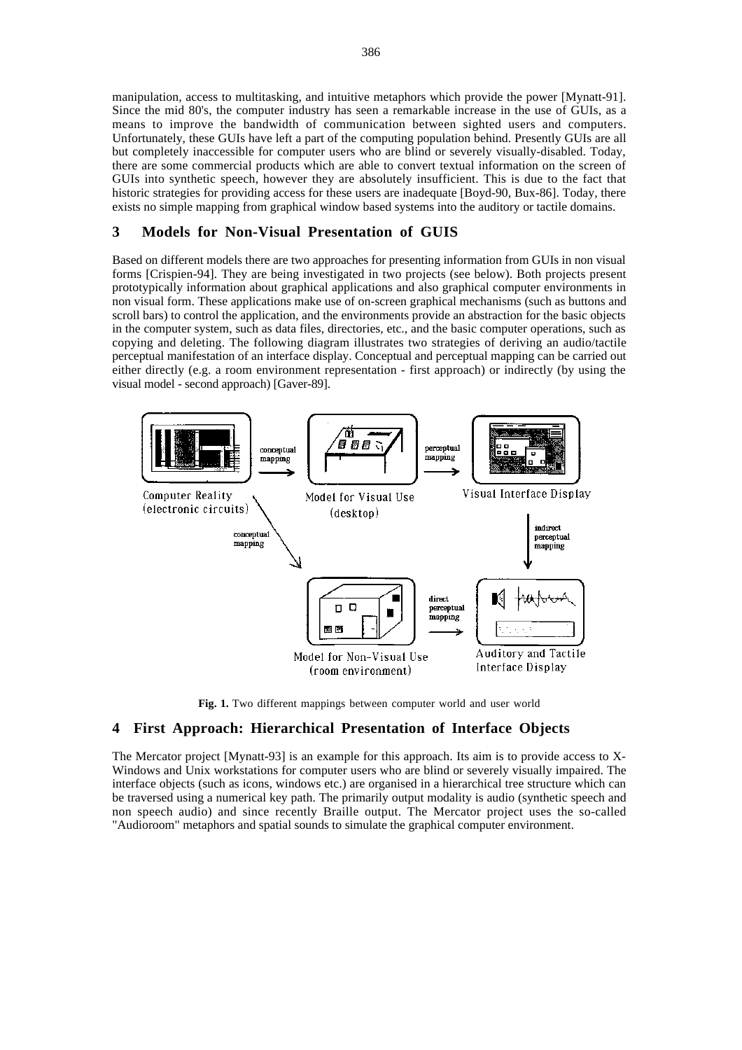manipulation, access to multitasking, and intuitive metaphors which provide the power [Mynatt-91]. Since the mid 80's, the computer industry has seen a remarkable increase in the use of GUIs, as a means to improve the bandwidth of communication between sighted users and computers. Unfortunately, these GUIs have left a part of the computing population behind. Presently GUIs are all but completely inaccessible for computer users who are blind or severely visually-disabled. Today, there are some commercial products which are able to convert textual information on the screen of GUIs into synthetic speech, however they are absolutely insufficient. This is due to the fact that historic strategies for providing access for these users are inadequate [Boyd-90, Bux-86]. Today, there exists no simple mapping from graphical window based systems into the auditory or tactile domains.

## **3 Models for Non-Visual Presentation of GUIS**

Based on different models there are two approaches for presenting information from GUIs in non visual forms [Crispien-94]. They are being investigated in two projects (see below). Both projects present prototypically information about graphical applications and also graphical computer environments in non visual form. These applications make use of on-screen graphical mechanisms (such as buttons and scroll bars) to control the application, and the environments provide an abstraction for the basic objects in the computer system, such as data files, directories, etc., and the basic computer operations, such as copying and deleting. The following diagram illustrates two strategies of deriving an audio/tactile perceptual manifestation of an interface display. Conceptual and perceptual mapping can be carried out either directly (e.g. a room environment representation - first approach) or indirectly (by using the visual model - second approach) [Gaver-89].



Fig. 1. Two different mappings between computer world and user world

## **4 First Approach: Hierarchical Presentation of Interface Objects**

The Mercator project [Mynatt-93] is an example for this approach. Its aim is to provide access to X-Windows and Unix workstations for computer users who are blind or severely visually impaired. The interface objects (such as icons, windows etc.) are organised in a hierarchical tree structure which can be traversed using a numerical key path. The primarily output modality is audio (synthetic speech and non speech audio) and since recently Braille output. The Mercator project uses the so-called "Audioroom" metaphors and spatial sounds to simulate the graphical computer environment.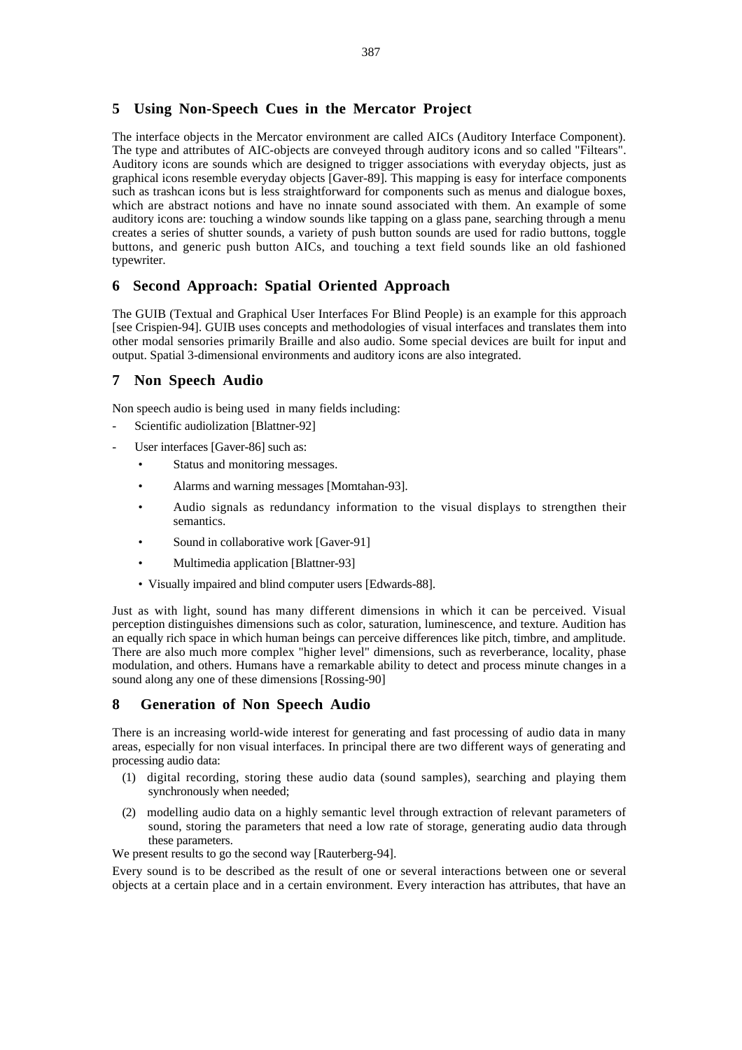# **5 Using Non-Speech Cues in the Mercator Project**

The interface objects in the Mercator environment are called AICs (Auditory Interface Component). The type and attributes of AIC-objects are conveyed through auditory icons and so called "Filtears". Auditory icons are sounds which are designed to trigger associations with everyday objects, just as graphical icons resemble everyday objects [Gaver-89]. This mapping is easy for interface components such as trashcan icons but is less straightforward for components such as menus and dialogue boxes, which are abstract notions and have no innate sound associated with them. An example of some auditory icons are: touching a window sounds like tapping on a glass pane, searching through a menu creates a series of shutter sounds, a variety of push button sounds are used for radio buttons, toggle buttons, and generic push button AICs, and touching a text field sounds like an old fashioned typewriter.

# **6 Second Approach: Spatial Oriented Approach**

The GUIB (Textual and Graphical User Interfaces For Blind People) is an example for this approach [see Crispien-94]. GUIB uses concepts and methodologies of visual interfaces and translates them into other modal sensories primarily Braille and also audio. Some special devices are built for input and output. Spatial 3-dimensional environments and auditory icons are also integrated.

# **7 Non Speech Audio**

Non speech audio is being used in many fields including:

- Scientific audiolization [Blattner-92]
- User interfaces [Gaver-86] such as:
	- Status and monitoring messages.
	- Alarms and warning messages [Momtahan-93].
	- Audio signals as redundancy information to the visual displays to strengthen their semantics.
	- Sound in collaborative work [Gaver-91]
	- Multimedia application [Blattner-93]
	- Visually impaired and blind computer users [Edwards-88].

Just as with light, sound has many different dimensions in which it can be perceived. Visual perception distinguishes dimensions such as color, saturation, luminescence, and texture. Audition has an equally rich space in which human beings can perceive differences like pitch, timbre, and amplitude. There are also much more complex "higher level" dimensions, such as reverberance, locality, phase modulation, and others. Humans have a remarkable ability to detect and process minute changes in a sound along any one of these dimensions [Rossing-90]

# **8 Generation of Non Speech Audio**

There is an increasing world-wide interest for generating and fast processing of audio data in many areas, especially for non visual interfaces. In principal there are two different ways of generating and processing audio data:

- (1) digital recording, storing these audio data (sound samples), searching and playing them synchronously when needed;
- (2) modelling audio data on a highly semantic level through extraction of relevant parameters of sound, storing the parameters that need a low rate of storage, generating audio data through these parameters.

We present results to go the second way [Rauterberg-94].

Every sound is to be described as the result of one or several interactions between one or several objects at a certain place and in a certain environment. Every interaction has attributes, that have an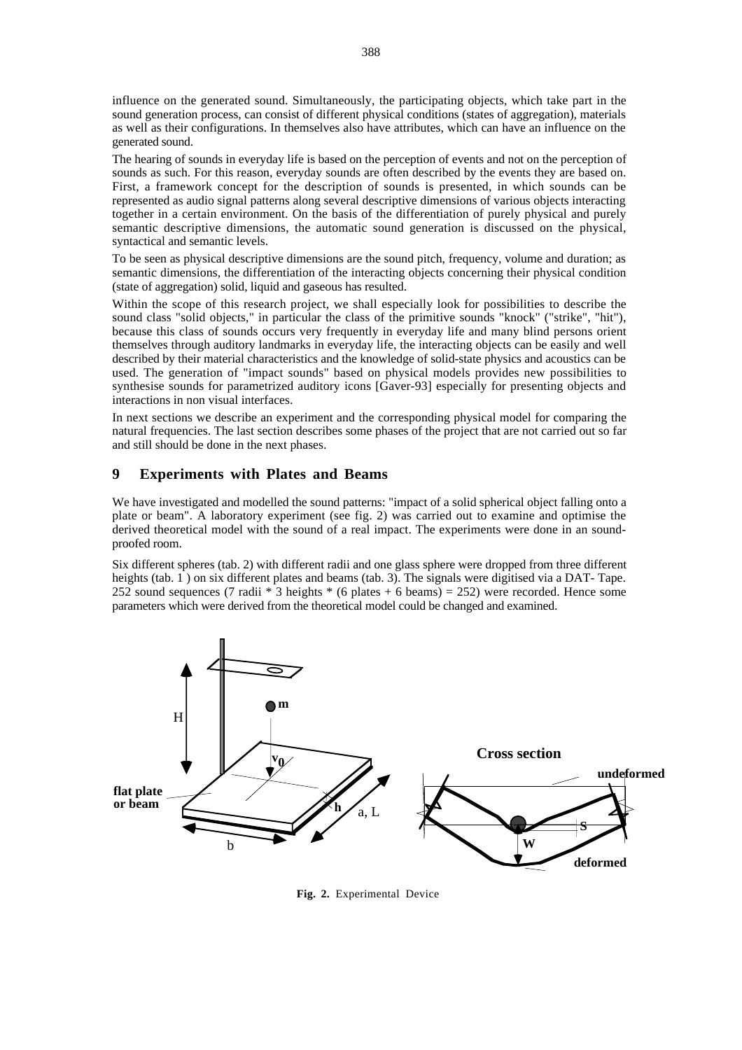influence on the generated sound. Simultaneously, the participating objects, which take part in the sound generation process, can consist of different physical conditions (states of aggregation), materials as well as their configurations. In themselves also have attributes, which can have an influence on the generated sound.

The hearing of sounds in everyday life is based on the perception of events and not on the perception of sounds as such. For this reason, everyday sounds are often described by the events they are based on. First, a framework concept for the description of sounds is presented, in which sounds can be represented as audio signal patterns along several descriptive dimensions of various objects interacting together in a certain environment. On the basis of the differentiation of purely physical and purely semantic descriptive dimensions, the automatic sound generation is discussed on the physical, syntactical and semantic levels.

To be seen as physical descriptive dimensions are the sound pitch, frequency, volume and duration; as semantic dimensions, the differentiation of the interacting objects concerning their physical condition (state of aggregation) solid, liquid and gaseous has resulted.

Within the scope of this research project, we shall especially look for possibilities to describe the sound class "solid objects," in particular the class of the primitive sounds "knock" ("strike", "hit"), because this class of sounds occurs very frequently in everyday life and many blind persons orient themselves through auditory landmarks in everyday life, the interacting objects can be easily and well described by their material characteristics and the knowledge of solid-state physics and acoustics can be used. The generation of "impact sounds" based on physical models provides new possibilities to synthesise sounds for parametrized auditory icons [Gaver-93] especially for presenting objects and interactions in non visual interfaces.

In next sections we describe an experiment and the corresponding physical model for comparing the natural frequencies. The last section describes some phases of the project that are not carried out so far and still should be done in the next phases.

## **9 Experiments with Plates and Beams**

We have investigated and modelled the sound patterns: "impact of a solid spherical object falling onto a plate or beam". A laboratory experiment (see fig. 2) was carried out to examine and optimise the derived theoretical model with the sound of a real impact. The experiments were done in an soundproofed room.

Six different spheres (tab. 2) with different radii and one glass sphere were dropped from three different heights (tab. 1) on six different plates and beams (tab. 3). The signals were digitised via a DAT- Tape. 252 sound sequences (7 radii  $*$  3 heights  $*$  (6 plates + 6 beams) = 252) were recorded. Hence some parameters which were derived from the theoretical model could be changed and examined.



**Fig. 2.** Experimental Device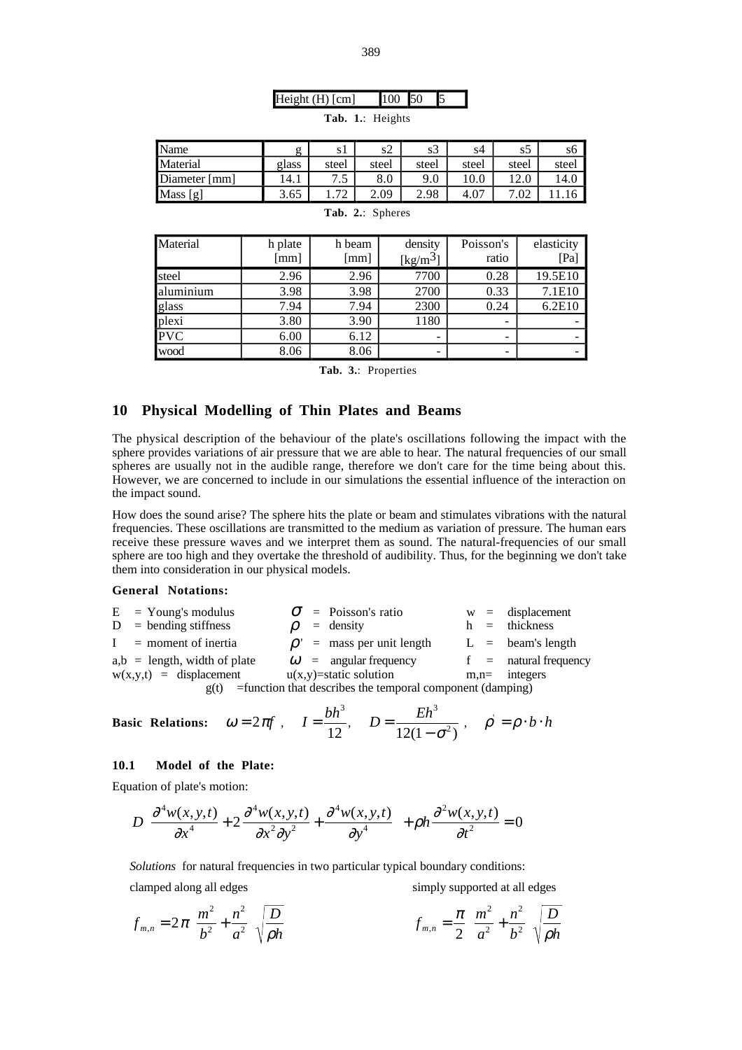|               | 100 50<br>5<br>Height (H) [cm] |        |                      |                                 |                    |       |                    |       |
|---------------|--------------------------------|--------|----------------------|---------------------------------|--------------------|-------|--------------------|-------|
|               |                                |        | Tab. 1.: Heights     |                                 |                    |       |                    |       |
| Name          | g                              | s1     | s2                   | s3                              | s4                 |       | s <sub>5</sub>     | sб    |
| Material      | glass                          | steel  | steel                | steel                           | steel              | steel |                    | steel |
| Diameter [mm] | 14.1                           | 7.5    | 8.0                  | 9.0                             | 10.0               |       | 12.0               | 14.0  |
| Mass [g]      | 3.65                           | 1.72   | 2.09                 | 2.98                            | 4.07               | 7.02  |                    | 11.16 |
|               |                                |        | Tab. 2.: Spheres     |                                 |                    |       |                    |       |
| Material      | h plate<br>[mm]                | h beam | $\lceil$ mm $\rceil$ | density<br>[kg/m <sup>3</sup> ] | Poisson's<br>ratio |       | elasticity<br>[Pa] |       |
| steel         | 2.96                           |        | 2.96                 | 7700                            | 0.28               |       | 19.5E10            |       |
| aluminium     | 3.98                           |        | 3.98                 | 2700                            | 0.33               |       | 7.1E10             |       |
| glass         | 7.94                           |        | 7.94                 | 2300                            | 0.24               |       | 6.2E10             |       |
| plexi         | 3.80                           |        | 3.90                 | 1180                            | -                  |       |                    |       |
| <b>PVC</b>    | 6.00                           |        |                      |                                 |                    |       |                    |       |

wood 8.06 8.06 - - - -**Tab. 3.**: Properties

## **10 Physical Modelling of Thin Plates and Beams**

The physical description of the behaviour of the plate's oscillations following the impact with the sphere provides variations of air pressure that we are able to hear. The natural frequencies of our small spheres are usually not in the audible range, therefore we don't care for the time being about this. However, we are concerned to include in our simulations the essential influence of the interaction on the impact sound.

How does the sound arise? The sphere hits the plate or beam and stimulates vibrations with the natural frequencies. These oscillations are transmitted to the medium as variation of pressure. The human ears receive these pressure waves and we interpret them as sound. The natural-frequencies of our small sphere are too high and they overtake the threshold of audibility. Thus, for the beginning we don't take them into consideration in our physical models.

### **General Notations:**

|  |  | $E = Young's$ modulus          |  | $\sigma$ = Poisson's ratio                                       |  | $w =$ displacement      |
|--|--|--------------------------------|--|------------------------------------------------------------------|--|-------------------------|
|  |  | $D =$ bending stiffness        |  | $\rho$ = density                                                 |  | $h =$ thickness         |
|  |  | $I =$ moment of inertia        |  | $\rho'$ = mass per unit length                                   |  | $L =$ beam's length     |
|  |  | $a,b =$ length, width of plate |  | $\omega$ = angular frequency                                     |  | $f =$ natural frequency |
|  |  | $w(x,y,t) =$ displacement      |  | $u(x,y)$ =static solution                                        |  | $m.n =$ integers        |
|  |  |                                |  | $g(t)$ =function that describes the temporal component (damping) |  |                         |

**Basic Relations:** 
$$
\omega = 2\pi f
$$
,  $I = \frac{bh^3}{12}$ ,  $D = \frac{Eh^3}{12(1 - \sigma^2)}$ ,  $\rho' = \rho \cdot b \cdot h$ 

#### **10.1 Model of the Plate:**

Equation of plate's motion:

$$
D\left(\frac{\partial^4 w(x,y,t)}{\partial x^4} + 2\frac{\partial^4 w(x,y,t)}{\partial x^2 \partial y^2} + \frac{\partial^4 w(x,y,t)}{\partial y^4}\right) + \rho h \frac{\partial^2 w(x,y,t)}{\partial t^2} = 0
$$

*Solutions* for natural frequencies in two particular typical boundary conditions: clamped along all edges simply supported at all edges

$$
f_{m,n} = 2\pi \left(\frac{m^2}{b^2} + \frac{n^2}{a^2}\right) \sqrt{\frac{D}{\rho h}}
$$
 
$$
f_{m,n} = \frac{\pi}{2} \left(\frac{m^2}{a^2} + \frac{n^2}{b^2}\right) \sqrt{\frac{D}{\rho h}}
$$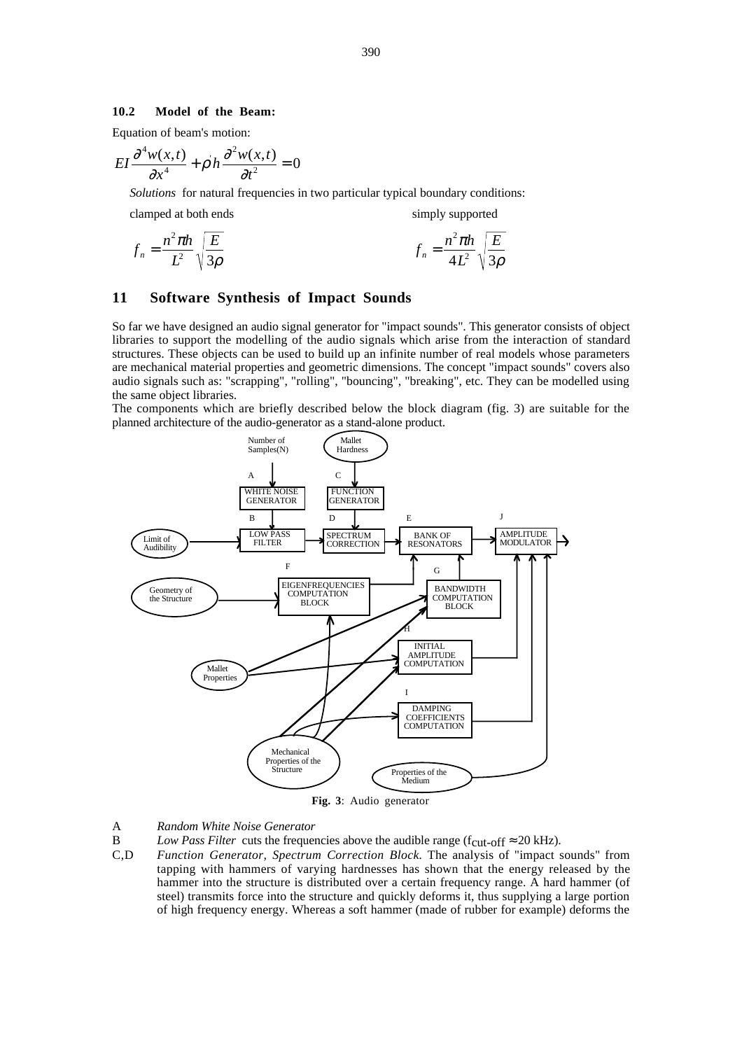#### **10.2 Model of the Beam:**

Equation of beam's motion:

$$
EI\frac{\partial^4 w(x,t)}{\partial x^4} + \rho' h \frac{\partial^2 w(x,t)}{\partial t^2} = 0
$$

*Solutions* for natural frequencies in two particular typical boundary conditions:

clamped at both ends simply supported

$$
f_n = \frac{n^2 \pi h}{L^2} \sqrt{\frac{E}{3\rho}}
$$
\n
$$
f_n = \frac{n^2 \pi h}{4L^2} \sqrt{\frac{E}{3\rho}}
$$

### **11 Software Synthesis of Impact Sounds**

So far we have designed an audio signal generator for "impact sounds". This generator consists of object libraries to support the modelling of the audio signals which arise from the interaction of standard structures. These objects can be used to build up an infinite number of real models whose parameters are mechanical material properties and geometric dimensions. The concept "impact sounds" covers also audio signals such as: "scrapping", "rolling", "bouncing", "breaking", etc. They can be modelled using the same object libraries.

The components which are briefly described below the block diagram (fig. 3) are suitable for the planned architecture of the audio-generator as a stand-alone product.



**Fig. 3**: Audio generator

- A *Random White Noise Generator*
- B *Low Pass Filter* cuts the frequencies above the audible range (f<sub>cut-off</sub>  $\approx$  20 kHz).<br>C.D *Function Generator. Spectrum Correction Block*. The analysis of "impact s
- Function Generator, Spectrum Correction Block. The analysis of "impact sounds" from tapping with hammers of varying hardnesses has shown that the energy released by the hammer into the structure is distributed over a certain frequency range. A hard hammer (of steel) transmits force into the structure and quickly deforms it, thus supplying a large portion of high frequency energy. Whereas a soft hammer (made of rubber for example) deforms the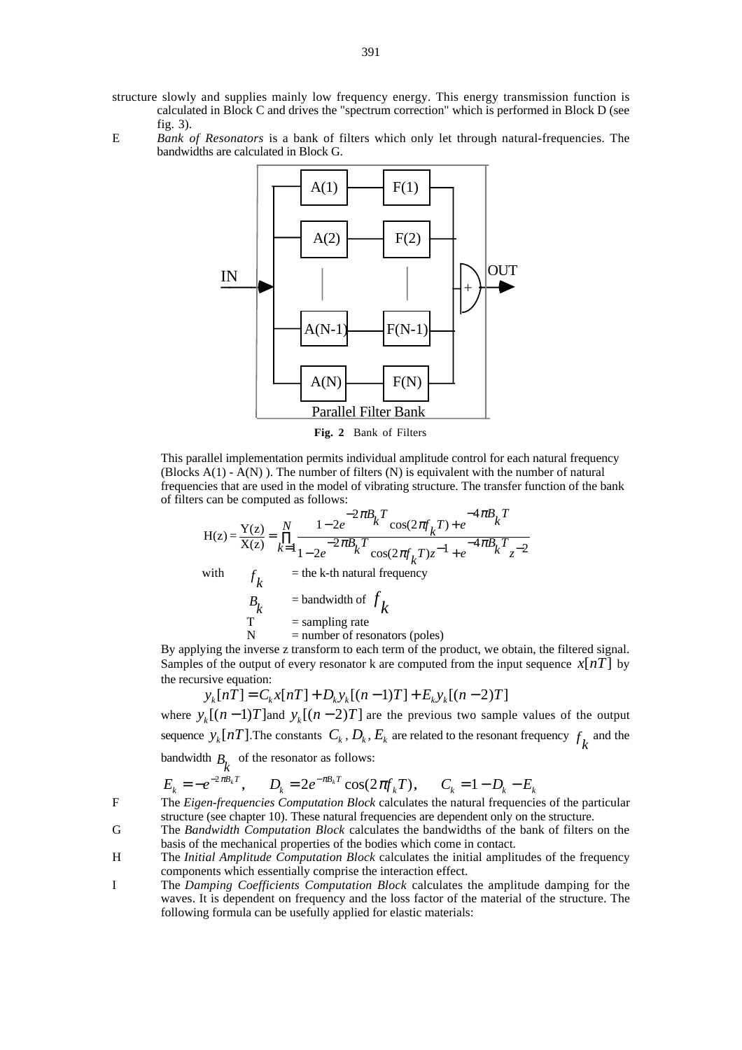- structure slowly and supplies mainly low frequency energy. This energy transmission function is calculated in Block C and drives the "spectrum correction" which is performed in Block D (see fig. 3).
- E *Bank of Resonators* is a bank of filters which only let through natural-frequencies. The bandwidths are calculated in Block G.



**Fig. 2** Bank of Filters

This parallel implementation permits individual amplitude control for each natural frequency (Blocks  $A(1) - \overline{A(N)}$ ). The number of filters (N) is equivalent with the number of natural frequencies that are used in the model of vibrating structure. The transfer function of the bank of filters can be computed as follows:

$$
H(z) = \frac{Y(z)}{X(z)} = \prod_{k=1}^{N} \frac{1 - 2e^{-2\pi B_k T} \cos(2\pi f_k T) + e^{-4\pi B_k T}}{1 - 2e^{-2\pi B_k T} \cos(2\pi f_k T)z^{-1} + e^{-4\pi B_k T} z^{-2}}
$$
  
with  $f_k$  = the k-th natural frequency  
 $B_k$  = bandwidth of  $f_k$   
T = sampling rate  
N = number of resonators (poles)

By applying the inverse z transform to each term of the product, we obtain, the filtered signal. Samples of the output of every resonator k are computed from the input sequence  $x[nT]$  by the recursive equation:

$$
y_k[nT] = C_k x[nT] + D_k y_k[(n-1)T] + E_k y_k[(n-2)T]
$$

where  $y_k[(n-1)T]$  and  $y_k[(n-2)T]$  are the previous two sample values of the output sequence  $y_k[nT]$ . The constants  $C_k$ ,  $D_k$ ,  $E_k$  are related to the resonant frequency  $f_k$  and the bandwidth  $B_k$  of the resonator as follows:

$$
E_k = -e^{-2\pi B_k T}, \qquad D_k = 2e^{-\pi B_k T} \cos(2\pi f_k T), \qquad C_k = 1 - D_k - E_k
$$

F The *Eigen-frequencies Computation Block* calculates the natural frequencies of the particular structure (see chapter 10). These natural frequencies are dependent only on the structure.

- G The *Bandwidth Computation Block* calculates the bandwidths of the bank of filters on the basis of the mechanical properties of the bodies which come in contact.
- H The *Initial Amplitude Computation Block* calculates the initial amplitudes of the frequency components which essentially comprise the interaction effect.
- I The *Damping Coefficients Computation Block* calculates the amplitude damping for the waves. It is dependent on frequency and the loss factor of the material of the structure. The following formula can be usefully applied for elastic materials: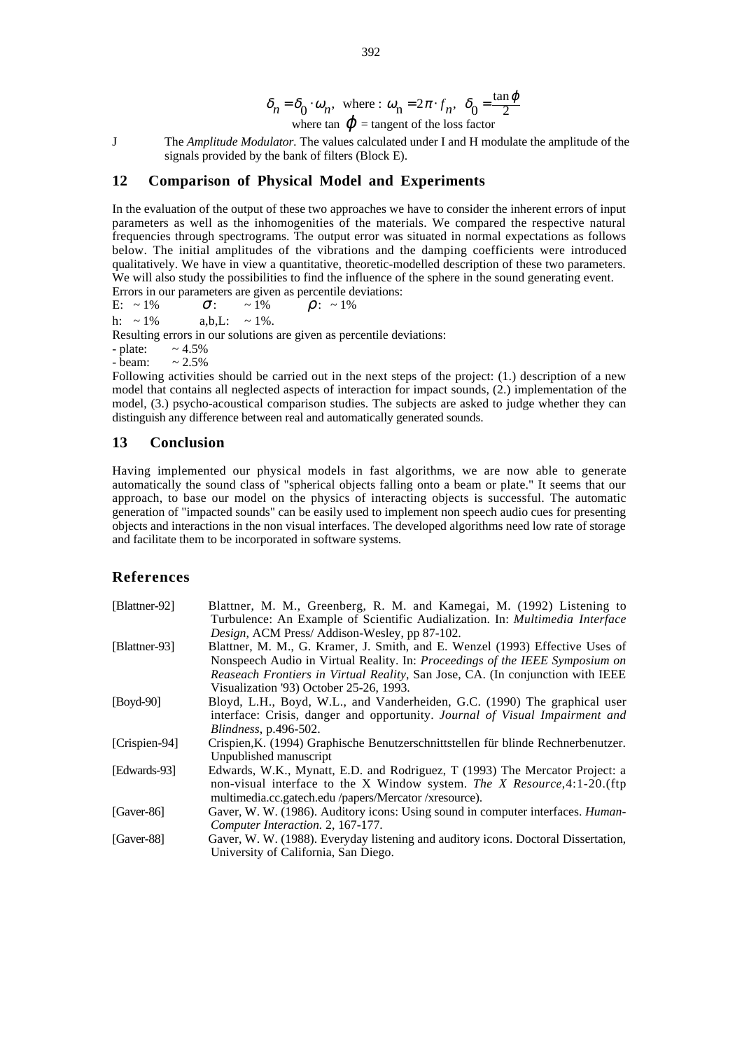$$
\delta_n = \delta_0 \cdot \omega_n, \text{ where : } \omega_n = 2\pi \cdot f_n, \ \delta_0 = \frac{\tan \varphi}{2}
$$
  
where  $\tan \varphi = \text{tangent of the loss factor}$ 

J The *Amplitude Modulator.* The values calculated under I and H modulate the amplitude of the signals provided by the bank of filters (Block E).

## **12 Comparison of Physical Model and Experiments**

In the evaluation of the output of these two approaches we have to consider the inherent errors of input parameters as well as the inhomogenities of the materials. We compared the respective natural frequencies through spectrograms. The output error was situated in normal expectations as follows below. The initial amplitudes of the vibrations and the damping coefficients were introduced qualitatively. We have in view a quantitative, theoretic-modelled description of these two parameters. We will also study the possibilities to find the influence of the sphere in the sound generating event.

Errors in our parameters are given as percentile deviations:<br>E:  $\sim 1\%$   $\sigma$ :  $\sim 1\%$   $\rho$ :  $\sim 1\%$  $σ: ~ ~ ~ ~ 1\%$   $ρ: ~ ~ 1\%$ 

h: 
$$
\sim 1\%
$$
 \t a,b,L:  $\sim 1\%$ .

Resulting errors in our solutions are given as percentile deviations:

 $-$  plate:  $\sim 4.5\%$ <br> $-$  beam:  $\sim 2.5\%$ 

- beam:

Following activities should be carried out in the next steps of the project: (1.) description of a new model that contains all neglected aspects of interaction for impact sounds, (2.) implementation of the model, (3.) psycho-acoustical comparison studies. The subjects are asked to judge whether they can distinguish any difference between real and automatically generated sounds.

## **13 Conclusion**

Having implemented our physical models in fast algorithms, we are now able to generate automatically the sound class of "spherical objects falling onto a beam or plate." It seems that our approach, to base our model on the physics of interacting objects is successful. The automatic generation of "impacted sounds" can be easily used to implement non speech audio cues for presenting objects and interactions in the non visual interfaces. The developed algorithms need low rate of storage and facilitate them to be incorporated in software systems.

### **References**

| [Blattner-92] | Blattner, M. M., Greenberg, R. M. and Kamegai, M. (1992) Listening to                   |
|---------------|-----------------------------------------------------------------------------------------|
|               | Turbulence: An Example of Scientific Audialization. In: Multimedia Interface            |
|               | <i>Design</i> , ACM Press/Addison-Wesley, pp 87-102.                                    |
| [Blattner-93] | Blattner, M. M., G. Kramer, J. Smith, and E. Wenzel (1993) Effective Uses of            |
|               | Nonspeech Audio in Virtual Reality. In: Proceedings of the IEEE Symposium on            |
|               | Reaseach Frontiers in Virtual Reality, San Jose, CA. (In conjunction with IEEE          |
|               | Visualization '93) October 25-26, 1993.                                                 |
| [Boyd-90]     | Bloyd, L.H., Boyd, W.L., and Vanderheiden, G.C. (1990) The graphical user               |
|               | interface: Crisis, danger and opportunity. Journal of Visual Impairment and             |
|               | <i>Blindness</i> , p.496-502.                                                           |
| [Crispien-94] | Crispien, K. (1994) Graphische Benutzerschnittstellen für blinde Rechnerbenutzer.       |
|               | Unpublished manuscript                                                                  |
| [Edwards-93]  | Edwards, W.K., Mynatt, E.D. and Rodriguez, T (1993) The Mercator Project: a             |
|               | non-visual interface to the X Window system. The X Resource, 4:1-20. (ftp)              |
|               | multimedia.cc.gatech.edu /papers/Mercator /xresource).                                  |
| [Gaver-86]    | Gaver, W. W. (1986). Auditory icons: Using sound in computer interfaces. <i>Human</i> - |
|               | Computer Interaction. 2, 167-177.                                                       |
| [Gaver-88]    | Gaver, W. W. (1988). Everyday listening and auditory icons. Doctoral Dissertation,      |
|               | University of California, San Diego.                                                    |